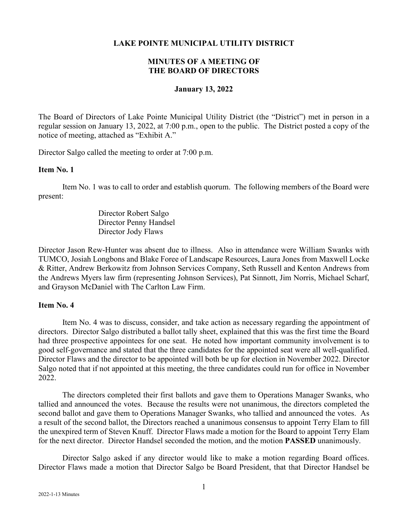### **LAKE POINTE MUNICIPAL UTILITY DISTRICT**

# **MINUTES OF A MEETING OF THE BOARD OF DIRECTORS**

#### **January 13, 2022**

The Board of Directors of Lake Pointe Municipal Utility District (the "District") met in person in a regular session on January 13, 2022, at 7:00 p.m., open to the public. The District posted a copy of the notice of meeting, attached as "Exhibit A."

Director Salgo called the meeting to order at 7:00 p.m.

#### **Item No. 1**

Item No. 1 was to call to order and establish quorum. The following members of the Board were present:

> Director Robert Salgo Director Penny Handsel Director Jody Flaws

Director Jason Rew-Hunter was absent due to illness. Also in attendance were William Swanks with TUMCO, Josiah Longbons and Blake Foree of Landscape Resources, Laura Jones from Maxwell Locke & Ritter, Andrew Berkowitz from Johnson Services Company, Seth Russell and Kenton Andrews from the Andrews Myers law firm (representing Johnson Services), Pat Sinnott, Jim Norris, Michael Scharf, and Grayson McDaniel with The Carlton Law Firm.

## **Item No. 4**

Item No. 4 was to discuss, consider, and take action as necessary regarding the appointment of directors. Director Salgo distributed a ballot tally sheet, explained that this was the first time the Board had three prospective appointees for one seat. He noted how important community involvement is to good self-governance and stated that the three candidates for the appointed seat were all well-qualified. Director Flaws and the director to be appointed will both be up for election in November 2022. Director Salgo noted that if not appointed at this meeting, the three candidates could run for office in November 2022.

The directors completed their first ballots and gave them to Operations Manager Swanks, who tallied and announced the votes. Because the results were not unanimous, the directors completed the second ballot and gave them to Operations Manager Swanks, who tallied and announced the votes. As a result of the second ballot, the Directors reached a unanimous consensus to appoint Terry Elam to fill the unexpired term of Steven Knuff. Director Flaws made a motion for the Board to appoint Terry Elam for the next director. Director Handsel seconded the motion, and the motion **PASSED** unanimously.

Director Salgo asked if any director would like to make a motion regarding Board offices. Director Flaws made a motion that Director Salgo be Board President, that that Director Handsel be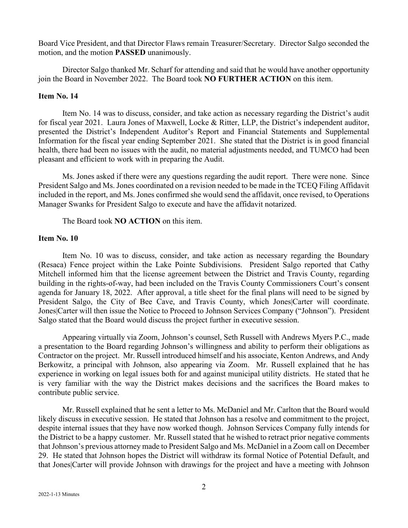Board Vice President, and that Director Flaws remain Treasurer/Secretary. Director Salgo seconded the motion, and the motion **PASSED** unanimously.

Director Salgo thanked Mr. Scharf for attending and said that he would have another opportunity join the Board in November 2022. The Board took **NO FURTHER ACTION** on this item.

#### **Item No. 14**

Item No. 14 was to discuss, consider, and take action as necessary regarding the District's audit for fiscal year 2021. Laura Jones of Maxwell, Locke & Ritter, LLP, the District's independent auditor, presented the District's Independent Auditor's Report and Financial Statements and Supplemental Information for the fiscal year ending September 2021. She stated that the District is in good financial health, there had been no issues with the audit, no material adjustments needed, and TUMCO had been pleasant and efficient to work with in preparing the Audit.

Ms. Jones asked if there were any questions regarding the audit report. There were none. Since President Salgo and Ms. Jones coordinated on a revision needed to be made in the TCEQ Filing Affidavit included in the report, and Ms. Jones confirmed she would send the affidavit, once revised, to Operations Manager Swanks for President Salgo to execute and have the affidavit notarized.

The Board took **NO ACTION** on this item.

## **Item No. 10**

Item No. 10 was to discuss, consider, and take action as necessary regarding the Boundary (Resaca) Fence project within the Lake Pointe Subdivisions. President Salgo reported that Cathy Mitchell informed him that the license agreement between the District and Travis County, regarding building in the rights-of-way, had been included on the Travis County Commissioners Court's consent agenda for January 18, 2022. After approval, a title sheet for the final plans will need to be signed by President Salgo, the City of Bee Cave, and Travis County, which Jones|Carter will coordinate. Jones|Carter will then issue the Notice to Proceed to Johnson Services Company ("Johnson"). President Salgo stated that the Board would discuss the project further in executive session.

Appearing virtually via Zoom, Johnson's counsel, Seth Russell with Andrews Myers P.C., made a presentation to the Board regarding Johnson's willingness and ability to perform their obligations as Contractor on the project. Mr. Russell introduced himself and his associate, Kenton Andrews, and Andy Berkowitz, a principal with Johnson, also appearing via Zoom. Mr. Russell explained that he has experience in working on legal issues both for and against municipal utility districts. He stated that he is very familiar with the way the District makes decisions and the sacrifices the Board makes to contribute public service.

Mr. Russell explained that he sent a letter to Ms. McDaniel and Mr. Carlton that the Board would likely discuss in executive session. He stated that Johnson has a resolve and commitment to the project, despite internal issues that they have now worked though. Johnson Services Company fully intends for the District to be a happy customer. Mr. Russell stated that he wished to retract prior negative comments thatJohnson's previous attorney made to President Salgo and Ms. McDaniel in a Zoom call on December 29. He stated that Johnson hopes the District will withdraw its formal Notice of Potential Default, and that Jones|Carter will provide Johnson with drawings for the project and have a meeting with Johnson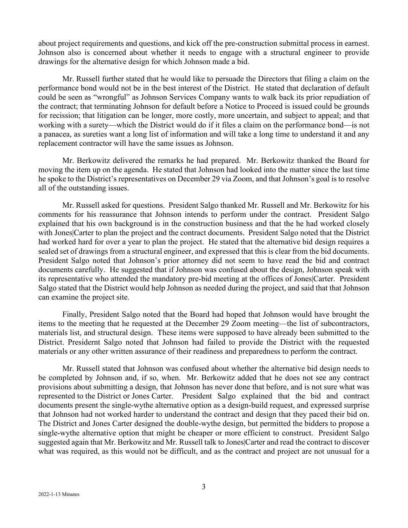about project requirements and questions, and kick off the pre-construction submittal process in earnest. Johnson also is concerned about whether it needs to engage with a structural engineer to provide drawings for the alternative design for which Johnson made a bid.

Mr. Russell further stated that he would like to persuade the Directors that filing a claim on the performance bond would not be in the best interest of the District. He stated that declaration of default could be seen as "wrongful" as Johnson Services Company wants to walk back its prior repudiation of the contract; that terminating Johnson for default before a Notice to Proceed is issued could be grounds for recission; that litigation can be longer, more costly, more uncertain, and subject to appeal; and that working with a surety—which the District would do if it files a claim on the performance bond—is not a panacea, as sureties want a long list of information and will take a long time to understand it and any replacement contractor will have the same issues as Johnson.

Mr. Berkowitz delivered the remarks he had prepared. Mr. Berkowitz thanked the Board for moving the item up on the agenda. He stated that Johnson had looked into the matter since the last time he spoke to the District's representatives on December 29 via Zoom, and that Johnson's goal is to resolve all of the outstanding issues.

Mr. Russell asked for questions. President Salgo thanked Mr. Russell and Mr. Berkowitz for his comments for his reassurance that Johnson intends to perform under the contract. President Salgo explained that his own background is in the construction business and that the he had worked closely with Jones|Carter to plan the project and the contract documents. President Salgo noted that the District had worked hard for over a year to plan the project. He stated that the alternative bid design requires a sealed set of drawings from a structural engineer, and expressed that this is clear from the bid documents. President Salgo noted that Johnson's prior attorney did not seem to have read the bid and contract documents carefully. He suggested that if Johnson was confused about the design, Johnson speak with its representative who attended the mandatory pre-bid meeting at the offices of Jones|Carter. President Salgo stated that the District would help Johnson as needed during the project, and said that that Johnson can examine the project site.

Finally, President Salgo noted that the Board had hoped that Johnson would have brought the items to the meeting that he requested at the December 29 Zoom meeting—the list of subcontractors, materials list, and structural design. These items were supposed to have already been submitted to the District. Presidernt Salgo noted that Johnson had failed to provide the District with the requested materials or any other written assurance of their readiness and preparedness to perform the contract.

Mr. Russell stated that Johnson was confused about whether the alternative bid design needs to be completed by Johnson and, if so, when. Mr. Berkowitz added that he does not see any contract provisions about submitting a design, that Johnson has never done that before, and is not sure what was represented to the District or Jones Carter. President Salgo explained that the bid and contract documents present the single-wythe alternative option as a design-build request, and expressed surprise that Johnson had not worked harder to understand the contract and design that they paced their bid on. The District and Jones Carter designed the double-wythe design, but permitted the bidders to propose a single-wythe alternative option that might be cheaper or more efficient to construct. President Salgo suggested again that Mr. Berkowitz and Mr. Russell talk to Jones|Carter and read the contract to discover what was required, as this would not be difficult, and as the contract and project are not unusual for a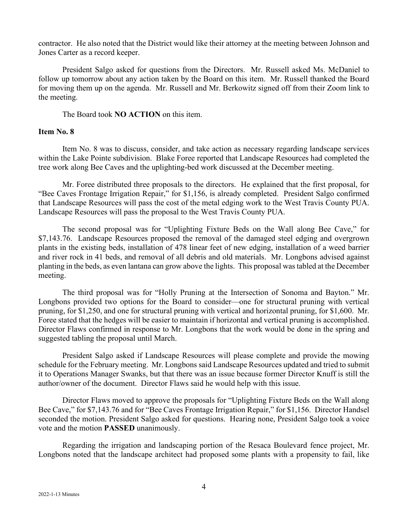contractor. He also noted that the District would like their attorney at the meeting between Johnson and Jones Carter as a record keeper.

President Salgo asked for questions from the Directors. Mr. Russell asked Ms. McDaniel to follow up tomorrow about any action taken by the Board on this item. Mr. Russell thanked the Board for moving them up on the agenda. Mr. Russell and Mr. Berkowitz signed off from their Zoom link to the meeting.

The Board took **NO ACTION** on this item.

### **Item No. 8**

Item No. 8 was to discuss, consider, and take action as necessary regarding landscape services within the Lake Pointe subdivision. Blake Foree reported that Landscape Resources had completed the tree work along Bee Caves and the uplighting-bed work discussed at the December meeting.

Mr. Foree distributed three proposals to the directors. He explained that the first proposal, for "Bee Caves Frontage Irrigation Repair," for \$1,156, is already completed. President Salgo confirmed that Landscape Resources will pass the cost of the metal edging work to the West Travis County PUA. Landscape Resources will pass the proposal to the West Travis County PUA.

The second proposal was for "Uplighting Fixture Beds on the Wall along Bee Cave," for \$7,143.76. Landscape Resources proposed the removal of the damaged steel edging and overgrown plants in the existing beds, installation of 478 linear feet of new edging, installation of a weed barrier and river rock in 41 beds, and removal of all debris and old materials. Mr. Longbons advised against planting in the beds, as even lantana can grow above the lights. This proposal was tabled at the December meeting.

The third proposal was for "Holly Pruning at the Intersection of Sonoma and Bayton." Mr. Longbons provided two options for the Board to consider—one for structural pruning with vertical pruning, for \$1,250, and one for structural pruning with vertical and horizontal pruning, for \$1,600. Mr. Foree stated that the hedges will be easier to maintain if horizontal and vertical pruning is accomplished. Director Flaws confirmed in response to Mr. Longbons that the work would be done in the spring and suggested tabling the proposal until March.

President Salgo asked if Landscape Resources will please complete and provide the mowing schedule for the February meeting. Mr. Longbons said Landscape Resources updated and tried to submit it to Operations Manager Swanks, but that there was an issue because former Director Knuff is still the author/owner of the document. Director Flaws said he would help with this issue.

Director Flaws moved to approve the proposals for "Uplighting Fixture Beds on the Wall along Bee Cave," for \$7,143.76 and for "Bee Caves Frontage Irrigation Repair," for \$1,156. Director Handsel seconded the motion. President Salgo asked for questions. Hearing none, President Salgo took a voice vote and the motion **PASSED** unanimously.

Regarding the irrigation and landscaping portion of the Resaca Boulevard fence project, Mr. Longbons noted that the landscape architect had proposed some plants with a propensity to fail, like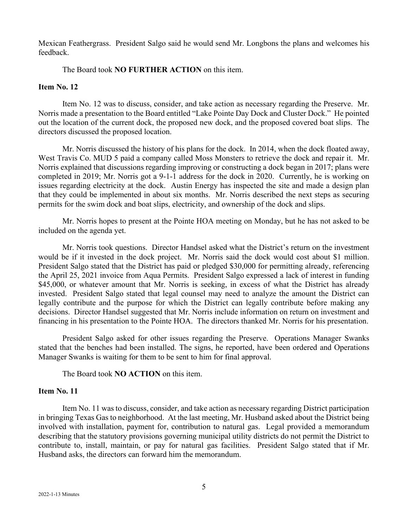Mexican Feathergrass. President Salgo said he would send Mr. Longbons the plans and welcomes his feedback.

The Board took **NO FURTHER ACTION** on this item.

### **Item No. 12**

Item No. 12 was to discuss, consider, and take action as necessary regarding the Preserve. Mr. Norris made a presentation to the Board entitled "Lake Pointe Day Dock and Cluster Dock." He pointed out the location of the current dock, the proposed new dock, and the proposed covered boat slips. The directors discussed the proposed location.

Mr. Norris discussed the history of his plans for the dock. In 2014, when the dock floated away, West Travis Co. MUD 5 paid a company called Moss Monsters to retrieve the dock and repair it. Mr. Norris explained that discussions regarding improving or constructing a dock began in 2017; plans were completed in 2019; Mr. Norris got a 9-1-1 address for the dock in 2020. Currently, he is working on issues regarding electricity at the dock. Austin Energy has inspected the site and made a design plan that they could be implemented in about six months. Mr. Norris described the next steps as securing permits for the swim dock and boat slips, electricity, and ownership of the dock and slips.

Mr. Norris hopes to present at the Pointe HOA meeting on Monday, but he has not asked to be included on the agenda yet.

Mr. Norris took questions. Director Handsel asked what the District's return on the investment would be if it invested in the dock project. Mr. Norris said the dock would cost about \$1 million. President Salgo stated that the District has paid or pledged \$30,000 for permitting already, referencing the April 25, 2021 invoice from Aqua Permits. President Salgo expressed a lack of interest in funding \$45,000, or whatever amount that Mr. Norris is seeking, in excess of what the District has already invested. President Salgo stated that legal counsel may need to analyze the amount the District can legally contribute and the purpose for which the District can legally contribute before making any decisions. Director Handsel suggested that Mr. Norris include information on return on investment and financing in his presentation to the Pointe HOA. The directors thanked Mr. Norris for his presentation.

President Salgo asked for other issues regarding the Preserve. Operations Manager Swanks stated that the benches had been installed. The signs, he reported, have been ordered and Operations Manager Swanks is waiting for them to be sent to him for final approval.

The Board took **NO ACTION** on this item.

#### **Item No. 11**

Item No. 11 was to discuss, consider, and take action as necessary regarding District participation in bringing Texas Gas to neighborhood. At the last meeting, Mr. Husband asked about the District being involved with installation, payment for, contribution to natural gas. Legal provided a memorandum describing that the statutory provisions governing municipal utility districts do not permit the District to contribute to, install, maintain, or pay for natural gas facilities. President Salgo stated that if Mr. Husband asks, the directors can forward him the memorandum.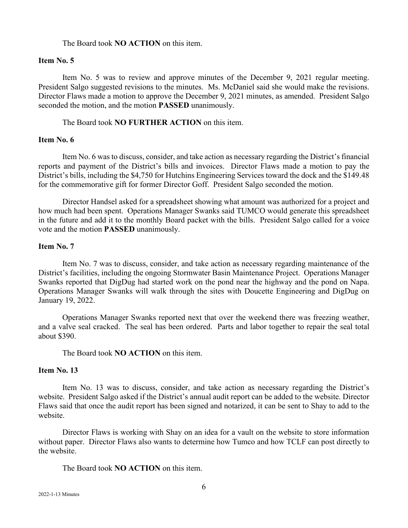#### The Board took **NO ACTION** on this item.

### **Item No. 5**

Item No. 5 was to review and approve minutes of the December 9, 2021 regular meeting. President Salgo suggested revisions to the minutes. Ms. McDaniel said she would make the revisions. Director Flaws made a motion to approve the December 9, 2021 minutes, as amended. President Salgo seconded the motion, and the motion **PASSED** unanimously.

The Board took **NO FURTHER ACTION** on this item.

## **Item No. 6**

Item No. 6 was to discuss, consider, and take action as necessary regarding the District's financial reports and payment of the District's bills and invoices. Director Flaws made a motion to pay the District's bills, including the \$4,750 for Hutchins Engineering Services toward the dock and the \$149.48 for the commemorative gift for former Director Goff. President Salgo seconded the motion.

Director Handsel asked for a spreadsheet showing what amount was authorized for a project and how much had been spent. Operations Manager Swanks said TUMCO would generate this spreadsheet in the future and add it to the monthly Board packet with the bills. President Salgo called for a voice vote and the motion **PASSED** unanimously.

# **Item No. 7**

Item No. 7 was to discuss, consider, and take action as necessary regarding maintenance of the District's facilities, including the ongoing Stormwater Basin Maintenance Project. Operations Manager Swanks reported that DigDug had started work on the pond near the highway and the pond on Napa. Operations Manager Swanks will walk through the sites with Doucette Engineering and DigDug on January 19, 2022.

Operations Manager Swanks reported next that over the weekend there was freezing weather, and a valve seal cracked. The seal has been ordered. Parts and labor together to repair the seal total about \$390.

The Board took **NO ACTION** on this item.

## **Item No. 13**

Item No. 13 was to discuss, consider, and take action as necessary regarding the District's website. President Salgo asked if the District's annual audit report can be added to the website. Director Flaws said that once the audit report has been signed and notarized, it can be sent to Shay to add to the website.

Director Flaws is working with Shay on an idea for a vault on the website to store information without paper. Director Flaws also wants to determine how Tumco and how TCLF can post directly to the website.

The Board took **NO ACTION** on this item.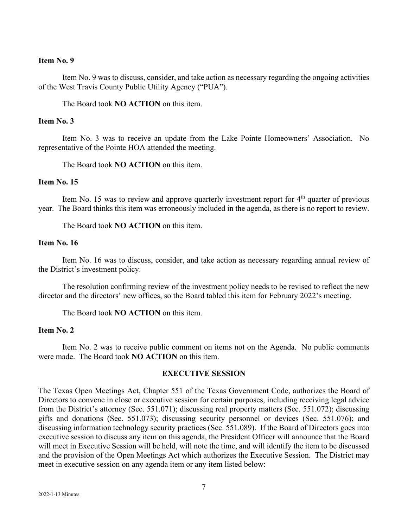### **Item No. 9**

Item No. 9 was to discuss, consider, and take action as necessary regarding the ongoing activities of the West Travis County Public Utility Agency ("PUA").

The Board took **NO ACTION** on this item.

### **Item No. 3**

Item No. 3 was to receive an update from the Lake Pointe Homeowners' Association. No representative of the Pointe HOA attended the meeting.

The Board took **NO ACTION** on this item.

#### **Item No. 15**

Item No. 15 was to review and approve quarterly investment report for  $4<sup>th</sup>$  quarter of previous year. The Board thinks this item was erroneously included in the agenda, as there is no report to review.

The Board took **NO ACTION** on this item.

### **Item No. 16**

Item No. 16 was to discuss, consider, and take action as necessary regarding annual review of the District's investment policy.

The resolution confirming review of the investment policy needs to be revised to reflect the new director and the directors' new offices, so the Board tabled this item for February 2022's meeting.

The Board took **NO ACTION** on this item.

## **Item No. 2**

Item No. 2 was to receive public comment on items not on the Agenda. No public comments were made. The Board took **NO ACTION** on this item.

### **EXECUTIVE SESSION**

The Texas Open Meetings Act, Chapter 551 of the Texas Government Code, authorizes the Board of Directors to convene in close or executive session for certain purposes, including receiving legal advice from the District's attorney (Sec. 551.071); discussing real property matters (Sec. 551.072); discussing gifts and donations (Sec. 551.073); discussing security personnel or devices (Sec. 551.076); and discussing information technology security practices (Sec. 551.089). If the Board of Directors goes into executive session to discuss any item on this agenda, the President Officer will announce that the Board will meet in Executive Session will be held, will note the time, and will identify the item to be discussed and the provision of the Open Meetings Act which authorizes the Executive Session. The District may meet in executive session on any agenda item or any item listed below: